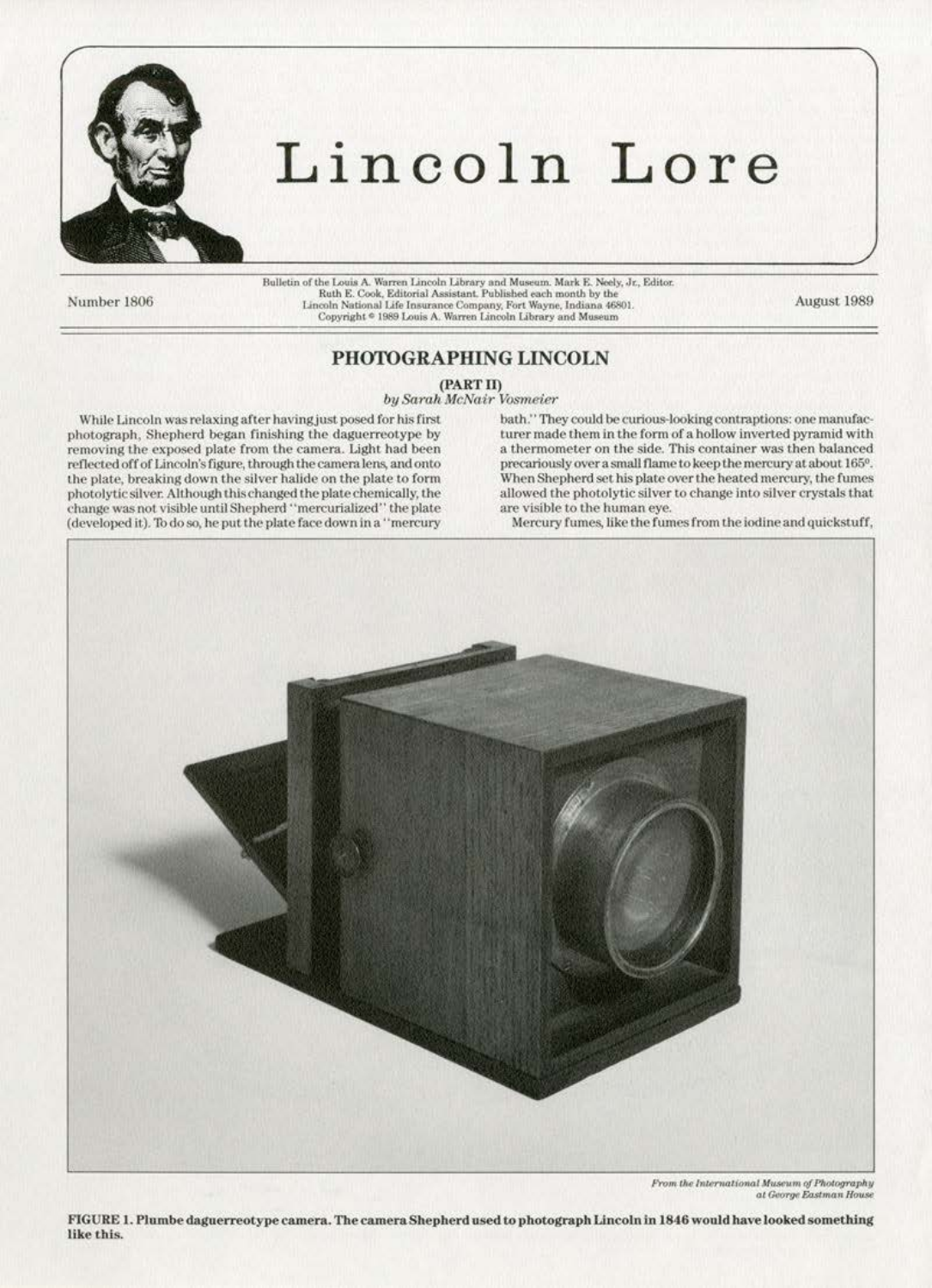

# Lincoln Lore

Number 1806

Bulletin of the Louis A. Warren Lincoln Library and Museum. Mark E. Neely, Jr., Editor.<br>Ruth E. Cook, Editorial Assistant. Published each month by the Lincoln National Life Insurance Company, Fort Wayne, Indiana 46801.<br>Copyright \* 1989 Louis A. Warren Lincoln Library and Museum

August 1989

# PHOTOGRAPHING LINCOLN

(PART II)

by Sarah McNair Vosmeier

While Lincoln was relaxing after having just posed for his first photograph. Shepherd began finishing the daguerreotype by removing the exposed plate from the camera. Light had been reflected off of Lincoln's figure, through the camera lens, and onto the plate, breaking down the silver halide on the plate to form photolytic silver. Although this changed the plate chemically, the change was not visible until Shepherd "mercurialized" the plate (developed it). To do so, he put the plate face down in a "mercury bath." They could be curious-looking contraptions: one manufacturer made them in the form of a hollow inverted pyramid with a thermometer on the side. This container was then balanced precariously over a small flame to keep the mercury at about 165°. When Shepherd set his plate over the heated mercury, the fumes allowed the photolytic silver to change into silver crystals that are visible to the human eve.

Mercury fumes, like the fumes from the iodine and quickstuff,



From the International Museum of Photography at George Eastman House

FIGURE 1. Plumbe daguerreotype camera. The camera Shepherd used to photograph Lincoln in 1846 would have looked something like this.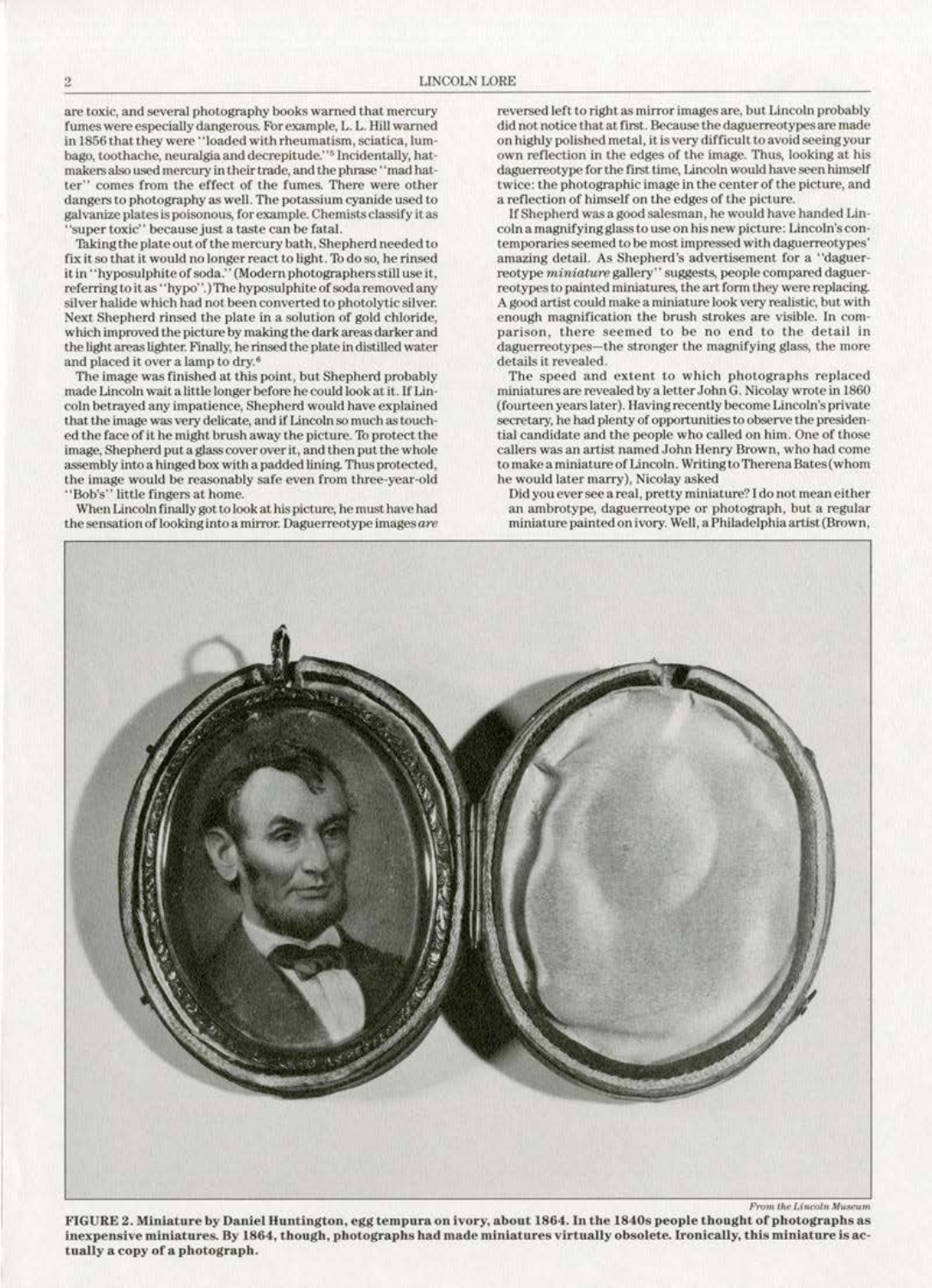are toxic, and several photography books warned that mercury fumes were especially dangerous. For example, L. L. Hill warned<br>in 1856 that they were "loaded with rheumatism, sciatica, lumbago, toothache, neuralgia and decrepitude.''<sup>5</sup> lncidentally, hatmakers also used mercury in their tmde, and the phrase ''mad hatter" comes from the effect of the fumes. There were other dangers to photography as well. The potassium cyanide used to galvanize plates is poisonous, for example. Chemists classify it as 'super toxic'' because just a taste can be fatal.

Taking the plate out of the mercury bath, Shepherd needed to fix it so that it would no longer react to light. To do so, he rinsed it in "hyposulphite of soda." (Modern photographers still use it, referring to it as "hypo".) The hyposulphite of soda removed any silver halide which had not been converted to photolytic silver. Next Shepherd rinsed the plate in a solution of gold chloride, which improved the picture by making the dark areas darker and the light areas lighter. Finally, he rinsed the plate in distilled water and placed it over a lamp to dry.<sup>6</sup>

The image was finished at this point, but Shepherd probably made Lincoln wait a little longer before he could look at it. If Lincoin betrayed any impatience, Shepherd would have explained that the image was very delicate, and if Lincoln so much as touched the face of it he might brush away the picture. To protect the image, Shepherd put a glass cover over it, and then put the whole assembly into a hinged box with a padded lining. Thus protected, the image would be reasonably safe even from three·year·old ·• Bob's'' little fingers at home.

When Lincoln finally got to look at his picture, he must have had the sensation of looking into a mirror. Daguerreotype images are

reversed left to right as mirror images are, but Lincoln probably did not notice that at first. Because the daguerreotypes are made on highly polished metal, it is very difficult to avoid seeing your *own* reflection in the edges or the image. Thug. looking at his daguerreotype for the first time, Lincoln would have seen himself twice: the photographic image in the center of the picture, and<br>a reflection of himself on the edges of the picture.

If Shepherd was a good salesman, he would have handed Lincoln a magnifying glass to use on his new picture: Lincoln's con-<br>temporaries seemed to be most impressed with daguerreotypes' amazing detail. As Shepherd's advertisement for a "daguerreotype *miniature* gallery" suggests, people compared daguerreotypes to painted miniatures, the art form they were replacing. A good artist could make a miniature look very realistic, but with parison, there seemed to be no end to the detail in daguerreotypes-the stronger the magnifying glass, the more details it revealed.

The speed and extent to which photographs replaced miniatures are revealed by a letter John G. Nicolay wrote in 1860 (fourteen years later). Having recently become Lincoln's private secretary, he had plenty of opportunities to observe the presidential candidate and the people who called on him. One of those callers was an artist named John Henry Brown, who had come to make a miniature of Lincoln. Writing to Therena Bates (whom he wou1d later marry), Nicolay asked

Did you ever see a real, pretty miniature? I do not mean either an ambrotypc, daguerreotype or photograph, but a regular miniature painted on ivory. Well, a Philadelphia artist (Brown,



FIGURE 2. Miniature by Daniel Huntington, egg tempura on ivory, about 1864. In the 1840s people thought of photographs as inexpensive miniatures. By 1864, though, photographs had made miniatures virtually obsolete. Ironically, this miniature is actually a copy of a photograph.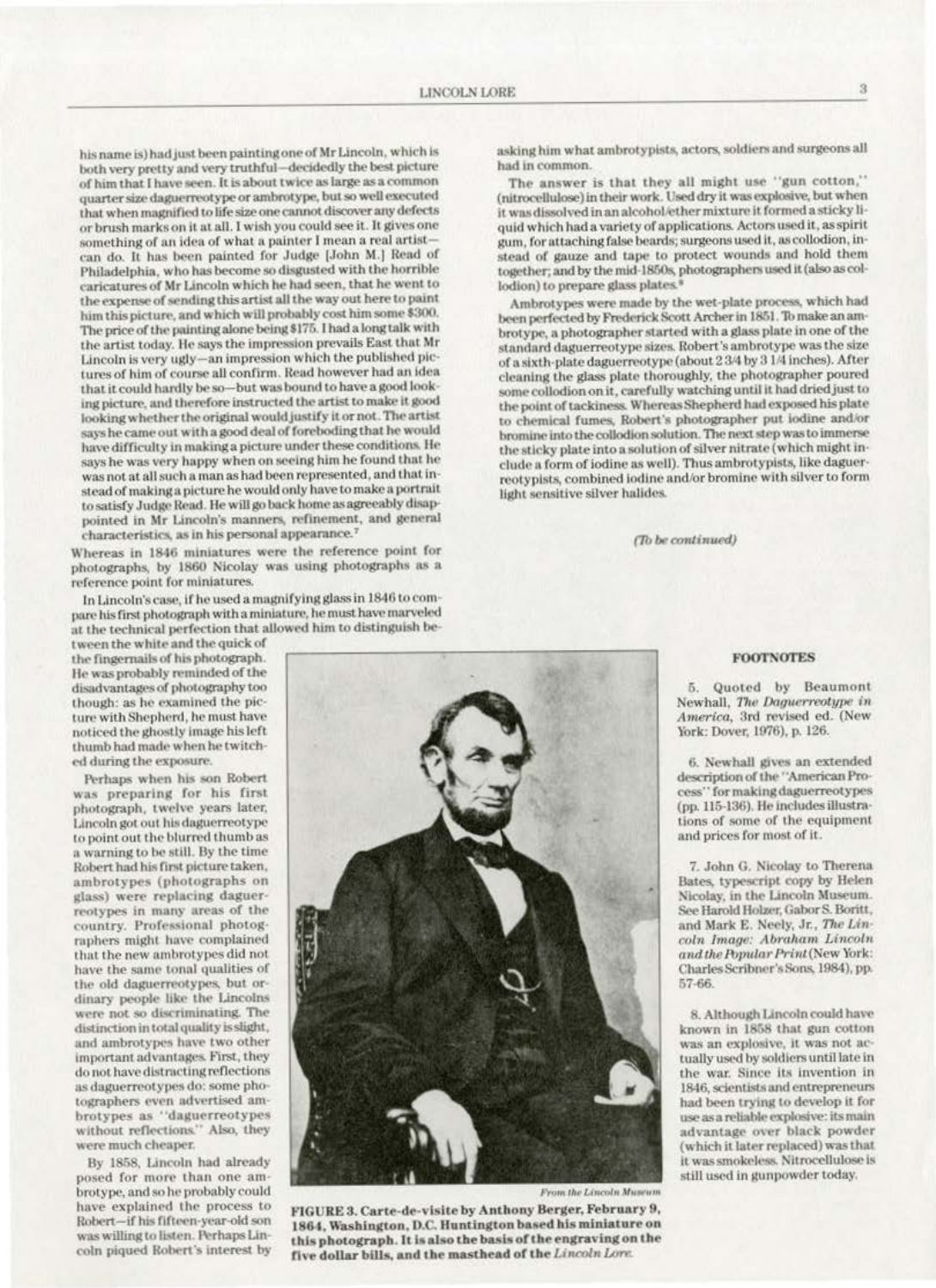his name is) had just been painting one of Mr Lincoln, which is both very pretty and very truthful-decidedly the best picture of him that I have seen. It is about twice as large as a common quarter size daguerreotype or ambrotype, but so well executed that when magnified to life size one cannot discover any defects or brush marks on it at all. I wish you could see it. It gives one something of an idea of what a painter I mean a real artistcan do. It has been painted for Judge [John M.] Read of Philadelphia, who has become so disgusted with the horrible caricatures of Mr Lincoln which he had seen, that he went to the expense of sending this artist all the way out here to paint him this picture, and which will probably cost him some \$300. The price of the painting alone being \$175. I had a long talk with the artist today. He says the impression prevails East that Mr Lincoln is very ugly-an impression which the published pictures of him of course all confirm. Read however had an idea that it could hardly be so-but was bound to have a good looking picture, and therefore instructed the artist to make it good looking whether the original would justify it or not. The artist says he came out with a good deal of foreboding that he would have difficulty in making a picture under these conditions. He says he was very happy when on seeing him he found that he was not at all such a man as had been represented, and that instead of making a picture he would only have to make a portrait to satisfy Judge Read. He will go back home as agreeably disappointed in Mr Lincoln's manners, refinement, and general characteristics, as in his personal appearance.<sup>7</sup>

Whereas in 1846 miniatures were the reference point for photographs, by 1860 Nicolay was using photographs as a reference point for miniatures.

In Lincoln's case, if he used a magnifying glass in 1846 to compare his first photograph with a miniature, he must have marveled at the technical perfection that allowed him to distinguish be-

tween the white and the quick of the fingernalls of his photograph. He was probably reminded of the disadvantages of photography too though: as he examined the picture with Shepherd, he must have noticed the ghostly image his left thumb had made when he twitched during the exposure.

Perhaps when his son Robert was preparing for his first photograph, twelve years later, Lincoln got out his daguerreotype to point out the blurred thumb as a warning to be still. By the time Robert had his first picture taken, ambrotypes (photographs on glass) were replacing daguerreotypes in many areas of the country. Professional photographers might have complained that the new ambrotypes did not have the same tonal qualities of the old daguerreotypes, but ordinary people like the Lincolns were not so discriminating. The distinction in total quality is slight, and ambrotypes have two other important advantages. First, they do not have distracting reflections as daguerreotypes do: some photographers even advertised ambrotypes as "daguerreotypes without reflections." Also, they were much cheaper.

By 1858, Lincoln had already posed for more than one ambrotype, and so he probably could have explained the process to Robert-if his fifteen-year-old son was willing to listen. Perhaps Lincoln piqued Robert's interest by

asking him what ambrotypists, actors, soldiers and surgeons all had in common.

The answer is that they all might use "gun cotton," (nitrocellulose) in their work. Used dry it was explosive, but when it was dissolved in an alcohol/ether mixture it formed a sticky liquid which had a variety of applications. Actors used it, as spirit gum, for attaching false beards; surgeons used it, as collodion, instead of gauze and tape to protect wounds and hold them together; and by the mid-1850s, photographers used it (also as collodion) to prepare glass plates.<sup>1</sup>

Ambrotypes were made by the wet-plate process, which had been perfected by Frederick Scott Archer in 1851. To make an ambrotype, a photographer started with a glass plate in one of the standard daguerreotype sizes. Robert's ambrotype was the size of a sixth-plate daguerreotype (about 2 3/4 by 3 1/4 inches). After cleaning the glass plate thoroughly, the photographer poured some collodion on it, carefully watching until it had dried just to the point of tackiness. Whereas Shepherd had exposed his plate to chemical fumes. Robert's photographer put iodine and/or bromine into the collodion solution. The next step was to immerse the sticky plate into a solution of silver nitrate (which might include a form of iodine as well). Thus ambrotypists, like daguerreotypists, combined iodine and/or bromine with silver to form light sensitive silver halides.

(To be continued)

#### **FOOTNOTES**

Quoted by Beaumont 5. Newhall, The Daguerreotype in America, 3rd revised ed. (New York: Dover, 1976), p. 126.

6. Newhall gives an extended description of the "American Process" for making daguerreotypes (pp. 115-136). He includes illustrations of some of the equipment and prices for most of it.

7. John G. Nicolay to Therena Bates, typescript copy by Helen Nicolay, in the Lincoln Museum. See Harold Holzer, Gabor S. Boritt, and Mark E. Neely, Jr., The Lincoln Image: Abraham Lincoln and the Popular Print (New York: Charles Scribner's Sons, 1984), pp. 57-66.

8. Although Lincoln could have known in 1858 that gun cotton was an explosive, it was not actually used by soldiers until late in the war. Since its invention in 1846, scientists and entrepreneurs had been trying to develop it for use as a reliable explosive: its main advantage over black powder (which it later replaced) was that it was smokeless. Nitrocellulose is still used in gunpowder today.

FIGURE 3. Carte-de-visite by Anthony Berger, February 9, 1864, Washington, D.C. Huntington based his miniature on this photograph. It is also the basis of the engraving on the five dollar bills, and the masthead of the Lincoln Lore.